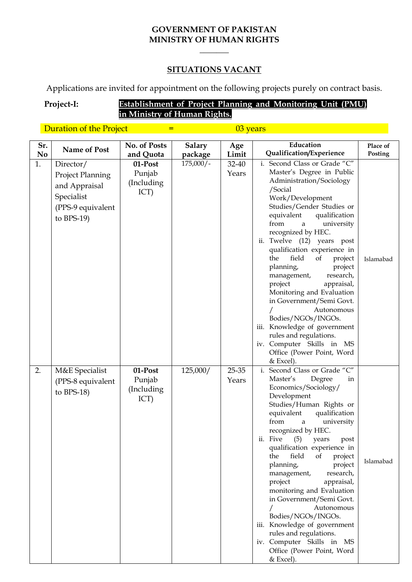#### **GOVERNMENT OF PAKISTAN MINISTRY OF HUMAN RIGHTS**

**\_\_\_\_\_\_\_**

#### **SITUATIONS VACANT**

Applications are invited for appointment on the following projects purely on contract basis.

## **Project-I: Establishment of Project Planning and Monitoring Unit (PMU) in Ministry of Human Rights.**

Duration of the Project  $=$   $\frac{03 \text{ years}}{0}$ 

| Sr.            | Name of Post            | No. of Posts | <b>Salary</b> | Age   | Education                                                                                                                                                                                                                                                                           | Place of  |
|----------------|-------------------------|--------------|---------------|-------|-------------------------------------------------------------------------------------------------------------------------------------------------------------------------------------------------------------------------------------------------------------------------------------|-----------|
| N <sub>0</sub> |                         | and Quota    | package       | Limit | Qualification/Experience                                                                                                                                                                                                                                                            | Posting   |
| 1.             | Director/               | 01-Post      | $175,000/-$   | 32-40 | i. Second Class or Grade "C"                                                                                                                                                                                                                                                        |           |
|                | <b>Project Planning</b> | Punjab       |               | Years | Master's Degree in Public                                                                                                                                                                                                                                                           |           |
|                | and Appraisal           | (Including   |               |       | Administration/Sociology                                                                                                                                                                                                                                                            |           |
|                |                         | ICT)         |               |       | /Social                                                                                                                                                                                                                                                                             |           |
|                | Specialist              |              |               |       | Work/Development                                                                                                                                                                                                                                                                    |           |
|                | (PPS-9 equivalent       |              |               |       | Studies/Gender Studies or                                                                                                                                                                                                                                                           |           |
|                | to $BPS-19$             |              |               |       | equivalent<br>qualification<br>from<br>university<br>a                                                                                                                                                                                                                              |           |
|                |                         |              |               |       | recognized by HEC.                                                                                                                                                                                                                                                                  |           |
|                |                         |              |               |       | ii. Twelve (12) years post                                                                                                                                                                                                                                                          |           |
|                |                         |              |               |       | qualification experience in                                                                                                                                                                                                                                                         |           |
|                |                         |              |               |       | field<br>the<br>of<br>project                                                                                                                                                                                                                                                       | Islamabad |
|                |                         |              |               |       | planning,<br>project                                                                                                                                                                                                                                                                |           |
|                |                         |              |               |       | research,<br>management,                                                                                                                                                                                                                                                            |           |
|                |                         |              |               |       | project<br>appraisal,                                                                                                                                                                                                                                                               |           |
|                |                         |              |               |       | Monitoring and Evaluation                                                                                                                                                                                                                                                           |           |
|                |                         |              |               |       | in Government/Semi Govt.<br>Autonomous                                                                                                                                                                                                                                              |           |
|                |                         |              |               |       | Bodies/NGOs/INGOs.                                                                                                                                                                                                                                                                  |           |
|                |                         |              |               |       | iii. Knowledge of government                                                                                                                                                                                                                                                        |           |
|                |                         |              |               |       | rules and regulations.                                                                                                                                                                                                                                                              |           |
|                |                         |              |               |       | iv. Computer Skills in MS                                                                                                                                                                                                                                                           |           |
|                |                         |              |               |       | Office (Power Point, Word                                                                                                                                                                                                                                                           |           |
|                |                         |              |               |       | & Excel).                                                                                                                                                                                                                                                                           |           |
| 2.             | M&E Specialist          | 01-Post      | 125,000/      | 25-35 | i. Second Class or Grade "C"                                                                                                                                                                                                                                                        |           |
|                | (PPS-8 equivalent       | Punjab       |               | Years | Master's<br>Degree<br>in                                                                                                                                                                                                                                                            |           |
|                | to $BPS-18$ )           | (Including   |               |       | Economics/Sociology/<br>Development                                                                                                                                                                                                                                                 |           |
|                |                         | ICT)         |               |       | Studies/Human Rights or                                                                                                                                                                                                                                                             |           |
|                |                         |              |               |       | qualification<br>equivalent                                                                                                                                                                                                                                                         |           |
|                |                         |              |               |       | from<br>university<br>$\mathbf{a}$                                                                                                                                                                                                                                                  |           |
|                |                         |              |               |       | recognized by HEC.                                                                                                                                                                                                                                                                  |           |
|                |                         |              |               |       | (5)<br>years<br>post                                                                                                                                                                                                                                                                |           |
|                |                         |              |               |       |                                                                                                                                                                                                                                                                                     |           |
|                |                         |              |               |       |                                                                                                                                                                                                                                                                                     | Islamabad |
|                |                         |              |               |       |                                                                                                                                                                                                                                                                                     |           |
|                |                         |              |               |       |                                                                                                                                                                                                                                                                                     |           |
|                |                         |              |               |       |                                                                                                                                                                                                                                                                                     |           |
|                |                         |              |               |       | in Government/Semi Govt.                                                                                                                                                                                                                                                            |           |
|                |                         |              |               |       | Autonomous                                                                                                                                                                                                                                                                          |           |
|                |                         |              |               |       | Bodies/NGOs/INGOs.                                                                                                                                                                                                                                                                  |           |
|                |                         |              |               |       | iii. Knowledge of government                                                                                                                                                                                                                                                        |           |
|                |                         |              |               |       |                                                                                                                                                                                                                                                                                     |           |
|                |                         |              |               |       |                                                                                                                                                                                                                                                                                     |           |
|                |                         |              |               |       |                                                                                                                                                                                                                                                                                     |           |
|                |                         |              |               |       | ii. Five<br>qualification experience in<br>of<br>the<br>field<br>project<br>planning,<br>project<br>management,<br>research,<br>project<br>appraisal,<br>monitoring and Evaluation<br>rules and regulations.<br>iv. Computer Skills in MS<br>Office (Power Point, Word<br>& Excel). |           |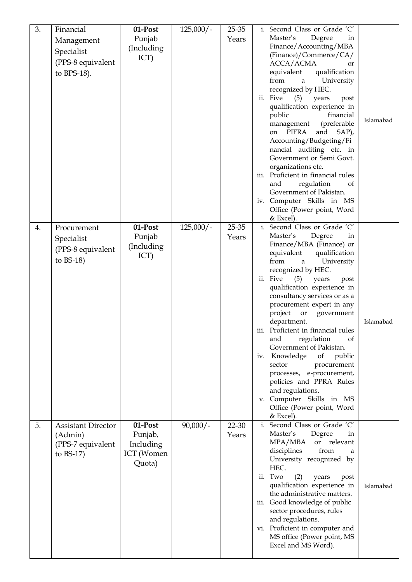| 3. | Financial<br>Management<br>Specialist<br>(PPS-8 equivalent<br>to $BPS-18$ ). | 01-Post<br>Punjab<br>(Including<br>ICT)                 | $125,000/-$ | $25 - 35$<br>Years | i. Second Class or Grade 'C'<br>Master's<br>Degree<br>in<br>Finance/Accounting/MBA<br>(Finance)/Commerce/CA/<br>ACCA/ACMA<br>or<br>equivalent<br>qualification<br>from<br>University<br>a<br>recognized by HEC.<br>ii. Five<br>(5)<br>years<br>post<br>qualification experience in<br>financial<br>public<br>Islamabad<br>(preferable<br>management<br>PIFRA<br>and<br>SAP),<br>on<br>Accounting/Budgeting/Fi<br>nancial auditing etc. in<br>Government or Semi Govt.<br>organizations etc.<br>iii. Proficient in financial rules<br>regulation<br>and<br>of<br>Government of Pakistan.                                   |
|----|------------------------------------------------------------------------------|---------------------------------------------------------|-------------|--------------------|---------------------------------------------------------------------------------------------------------------------------------------------------------------------------------------------------------------------------------------------------------------------------------------------------------------------------------------------------------------------------------------------------------------------------------------------------------------------------------------------------------------------------------------------------------------------------------------------------------------------------|
| 4. | Procurement                                                                  | 01-Post<br>Punjab                                       | $125,000/-$ | 25-35<br>Years     | iv. Computer Skills in MS<br>Office (Power point, Word<br>& Excel).<br>i. Second Class or Grade 'C'<br>Master's<br>Degree<br>in                                                                                                                                                                                                                                                                                                                                                                                                                                                                                           |
|    | Specialist<br>(PPS-8 equivalent<br>to $BS-18$                                | (Including<br>ICT)                                      |             |                    | Finance/MBA (Finance) or<br>equivalent<br>qualification<br>from<br>University<br>a<br>recognized by HEC.<br>ii. Five<br>(5)<br>years<br>post<br>qualification experience in<br>consultancy services or as a<br>procurement expert in any<br>project<br>or<br>government<br>department.<br>Islamabad<br>iii. Proficient in financial rules<br>and<br>regulation<br>of<br>Government of Pakistan.<br>Knowledge<br><sub>of</sub><br>public<br>iv.<br>sector<br>procurement<br>processes, e-procurement,<br>policies and PPRA Rules<br>and regulations.<br>v. Computer Skills in MS<br>Office (Power point, Word<br>& Excel). |
| 5. | <b>Assistant Director</b><br>(Admin)<br>(PPS-7 equivalent<br>to $BS-17$      | 01-Post<br>Punjab,<br>Including<br>ICT (Women<br>Quota) | $90,000/-$  | 22-30<br>Years     | i. Second Class or Grade 'C'<br>Master's<br>Degree<br>in<br>relevant<br>MPA/MBA<br>or<br>disciplines<br>from<br>a<br>University recognized by<br>HEC.<br>ii. Two<br>(2)<br>years<br>post<br>qualification experience in<br>Islamabad<br>the administrative matters.<br>iii. Good knowledge of public<br>sector procedures, rules<br>and regulations.<br>vi. Proficient in computer and<br>MS office (Power point, MS<br>Excel and MS Word).                                                                                                                                                                               |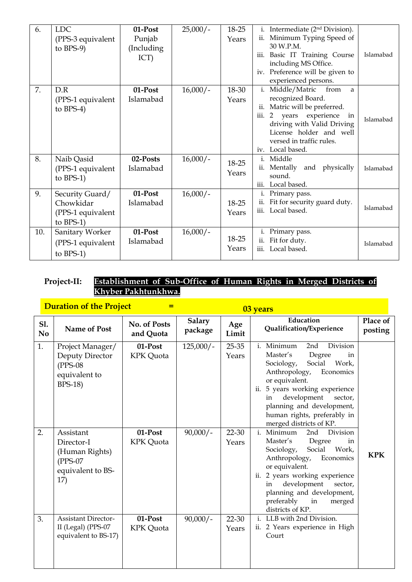| 6.  | <b>LDC</b><br>(PPS-3 equivalent<br>to $BPS-9$                     | 01-Post<br>Punjab<br>(Including)<br>ICT) | $25,000/-$ | 18-25<br>Years | Intermediate (2 <sup>nd</sup> Division).<br>i.<br>Minimum Typing Speed of<br>ii.<br>30 W.P.M.<br>Basic IT Training Course<br>iii.<br>including MS Office.<br>iv. Preference will be given to<br>experienced persons.                         | Islamabad |
|-----|-------------------------------------------------------------------|------------------------------------------|------------|----------------|----------------------------------------------------------------------------------------------------------------------------------------------------------------------------------------------------------------------------------------------|-----------|
| 7.  | D.R<br>(PPS-1 equivalent<br>to $BPS-4$ )                          | 01-Post<br>Islamabad                     | $16,000/-$ | 18-30<br>Years | Middle/Matric<br>i.<br>from<br>a<br>recognized Board.<br>Matric will be preferred.<br>ii.<br>experience<br>iii.<br>2 years<br>in<br>driving with Valid Driving<br>License holder and well<br>versed in traffic rules.<br>Local based.<br>iv. | Islamabad |
| 8.  | Naib Qasid<br>(PPS-1 equivalent<br>to $BPS-1$ )                   | 02-Posts<br>Islamabad                    | $16,000/-$ | 18-25<br>Years | Middle<br>$\mathbf{i}$ .<br>Mentally<br>and physically<br>ii.<br>sound.<br>Local based.<br>iii.                                                                                                                                              | Islamabad |
| 9.  | Security Guard/<br>Chowkidar<br>(PPS-1 equivalent<br>to $BPS-1$ ) | 01-Post<br>Islamabad                     | $16,000/-$ | 18-25<br>Years | Primary pass.<br>i.<br>Fit for security guard duty.<br>ii.<br>Local based.<br>iii.                                                                                                                                                           | Islamabad |
| 10. | Sanitary Worker<br>(PPS-1 equivalent<br>to $BPS-1$ )              | 01-Post<br>Islamabad                     | $16,000/-$ | 18-25<br>Years | Primary pass.<br>i.<br>Fit for duty.<br>ii.<br>Local based.<br>iii.                                                                                                                                                                          | Islamabad |

## **Project-II: Establishment of Sub-Office of Human Rights in Merged Districts of Khyber Pakhtunkhwa.**

**Duration of the Project Figure** 

| <u>Daminon of the froject</u> |                                                                                       |                             |                          | <u>U<sub>3</sub> years</u> |                                                                                                                                                                                                                                                                                                     |                     |  |  |
|-------------------------------|---------------------------------------------------------------------------------------|-----------------------------|--------------------------|----------------------------|-----------------------------------------------------------------------------------------------------------------------------------------------------------------------------------------------------------------------------------------------------------------------------------------------------|---------------------|--|--|
| S1.<br>N <sub>o</sub>         | <b>Name of Post</b>                                                                   | No. of Posts<br>and Quota   | <b>Salary</b><br>package | Age<br>Limit               | Education<br>Qualification/Experience                                                                                                                                                                                                                                                               | Place of<br>posting |  |  |
| 1.                            | Project Manager/<br>Deputy Director<br>$(PPS-08)$<br>equivalent to<br><b>BPS-18</b> ) | 01-Post<br>KPK Quota        | $125,000/-$              | $25 - 35$<br>Years         | i. Minimum<br>Division<br>2nd<br>Master's<br>Degree<br>in<br>Work,<br>Social<br>Sociology,<br>Anthropology,<br>Economics<br>or equivalent.<br>ii. 5 years working experience<br>development<br>sector,<br>in<br>planning and development,<br>human rights, preferably in<br>merged districts of KP. |                     |  |  |
| 2.                            | Assistant<br>Director-I<br>(Human Rights)<br>$(PPS-07)$<br>equivalent to BS-<br>17)   | 01-Post<br><b>KPK</b> Quota | $90,000/-$               | 22-30<br>Years             | i. Minimum<br>Division<br>2nd<br>Master's<br>Degree<br>in<br>Social<br>Work,<br>Sociology,<br>Anthropology,<br>Economics<br>or equivalent.<br>ii. 2 years working experience<br>development<br>sector,<br>in<br>planning and development,<br>preferably<br>in<br>merged<br>districts of KP.         | <b>KPK</b>          |  |  |
| 3.                            | <b>Assistant Director-</b><br>II (Legal) (PPS-07<br>equivalent to BS-17)              | 01-Post<br><b>KPK</b> Quota | $90,000/-$               | 22-30<br>Years             | i. LLB with 2nd Division.<br>2 Years experience in High<br>ii.<br>Court                                                                                                                                                                                                                             |                     |  |  |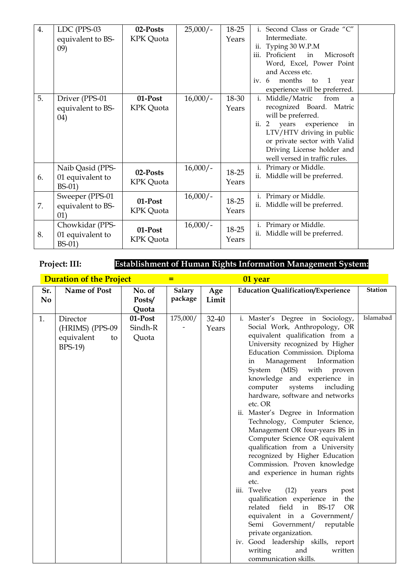| 4. | LDC (PPS-03                                      | 02-Posts                    | $25,000/-$ | 18-25          | i. Second Class or Grade "C"                                                                                                                                                                                                                            |  |
|----|--------------------------------------------------|-----------------------------|------------|----------------|---------------------------------------------------------------------------------------------------------------------------------------------------------------------------------------------------------------------------------------------------------|--|
|    | equivalent to BS-<br>(09)                        | KPK Quota                   |            | Years          | Intermediate.<br>Typing 30 W.P.M<br>ii.                                                                                                                                                                                                                 |  |
|    |                                                  |                             |            |                | Proficient<br>Microsoft<br>iii.<br>in<br>Word, Excel, Power Point<br>and Access etc.                                                                                                                                                                    |  |
|    |                                                  |                             |            |                | months<br>iv. $6$<br>1<br>to<br>year<br>experience will be preferred.                                                                                                                                                                                   |  |
| 5. | Driver (PPS-01<br>equivalent to BS-<br>(04)      | 01-Post<br><b>KPK</b> Quota | $16,000/-$ | 18-30<br>Years | Middle/Matric<br>from<br>i.<br>a<br>recognized Board. Matric<br>will be preferred.<br>ii.<br>years<br>experience<br>2<br>in<br>LTV/HTV driving in public<br>or private sector with Valid<br>Driving License holder and<br>well versed in traffic rules. |  |
| 6. | Naib Qasid (PPS-<br>01 equivalent to<br>$BS-01)$ | 02-Posts<br>KPK Quota       | $16,000/-$ | 18-25<br>Years | i. Primary or Middle.<br>ii. Middle will be preferred.                                                                                                                                                                                                  |  |
| 7. | Sweeper (PPS-01<br>equivalent to BS-<br>01)      | 01-Post<br>KPK Quota        | $16,000/-$ | 18-25<br>Years | Primary or Middle.<br>i.<br>ii. Middle will be preferred.                                                                                                                                                                                               |  |
| 8. | Chowkidar (PPS-<br>01 equivalent to<br>$BS-01)$  | 01-Post<br><b>KPK</b> Quota | $16,000/-$ | 18-25<br>Years | Primary or Middle.<br>i.<br>ii. Middle will be preferred.                                                                                                                                                                                               |  |

**Project: III: Establishment of Human Rights Information Management System:**

|                       | <b>Duration of the Project</b>                                    |                             |                   |                | 01 year                                                                                                                                                                                                                                                                                                                                                                                                                                                                                                                                                                                                                                                     |                |
|-----------------------|-------------------------------------------------------------------|-----------------------------|-------------------|----------------|-------------------------------------------------------------------------------------------------------------------------------------------------------------------------------------------------------------------------------------------------------------------------------------------------------------------------------------------------------------------------------------------------------------------------------------------------------------------------------------------------------------------------------------------------------------------------------------------------------------------------------------------------------------|----------------|
| Sr.<br>N <sub>0</sub> | Name of Post                                                      | No. of<br>Posts/<br>Quota   | Salary<br>package | Age<br>Limit   | <b>Education Qualification/Experience</b>                                                                                                                                                                                                                                                                                                                                                                                                                                                                                                                                                                                                                   | <b>Station</b> |
| 1.                    | Director<br>(HRIMS) (PPS-09<br>equivalent<br>to<br><b>BPS-19)</b> | 01-Post<br>Sindh-R<br>Quota | 175,000/          | 32-40<br>Years | i. Master's Degree in Sociology,<br>Social Work, Anthropology, OR<br>equivalent qualification from a<br>University recognized by Higher<br>Education Commission. Diploma<br>Management<br>Information<br>in<br>(MIS)<br>with<br>System<br>proven<br>knowledge and experience in<br>systems<br>computer<br>including<br>hardware, software and networks<br>etc. OR<br>ii. Master's Degree in Information<br>Technology, Computer Science,<br>Management OR four-years BS in<br>Computer Science OR equivalent<br>qualification from a University<br>recognized by Higher Education<br>Commission. Proven knowledge<br>and experience in human rights<br>etc. | Islamabad      |
|                       |                                                                   |                             |                   |                | iii. Twelve<br>(12)<br>years<br>post<br>qualification experience in the<br>related<br>field<br>BS-17<br>in<br><b>OR</b><br>equivalent in a Government/<br>Semi Government/<br>reputable<br>private organization.<br>iv. Good leadership skills, report<br>writing<br>and<br>written<br>communication skills.                                                                                                                                                                                                                                                                                                                                                |                |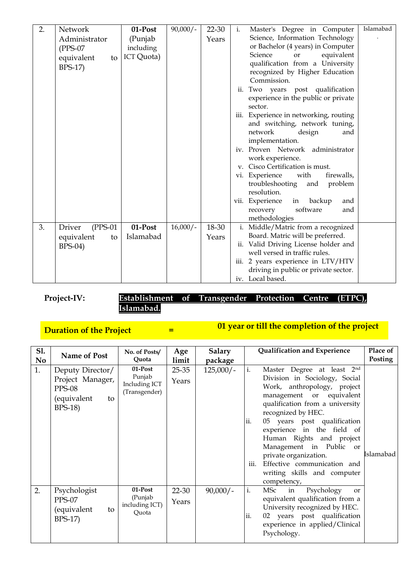| 2. | Network              | $01$ -Post | $90,000/-$ | 22-30 | Islamabad<br>Master's Degree in Computer<br>i.                             |
|----|----------------------|------------|------------|-------|----------------------------------------------------------------------------|
|    | Administrator        | (Punjab    |            | Years | Science, Information Technology                                            |
|    | $(PPS-07)$           | including  |            |       | or Bachelor (4 years) in Computer                                          |
|    | equivalent<br>to     | ICT Quota) |            |       | Science<br>equivalent<br>or                                                |
|    | <b>BPS-17)</b>       |            |            |       | qualification from a University                                            |
|    |                      |            |            |       | recognized by Higher Education                                             |
|    |                      |            |            |       | Commission.                                                                |
|    |                      |            |            |       | Two years post qualification<br>ii.                                        |
|    |                      |            |            |       | experience in the public or private                                        |
|    |                      |            |            |       | sector.                                                                    |
|    |                      |            |            |       | Experience in networking, routing<br>iii.                                  |
|    |                      |            |            |       | and switching, network tuning,                                             |
|    |                      |            |            |       | network<br>design<br>and                                                   |
|    |                      |            |            |       | implementation.                                                            |
|    |                      |            |            |       | iv. Proven Network administrator                                           |
|    |                      |            |            |       | work experience.                                                           |
|    |                      |            |            |       | v. Cisco Certification is must.                                            |
|    |                      |            |            |       | vi. Experience<br>with<br>firewalls,                                       |
|    |                      |            |            |       | troubleshooting<br>and<br>problem                                          |
|    |                      |            |            |       | resolution.                                                                |
|    |                      |            |            |       | vii. Experience<br>backup<br>in<br>and                                     |
|    |                      |            |            |       | software<br>recovery<br>and                                                |
|    |                      |            |            |       | methodologies                                                              |
| 3. | $(PPS-01)$<br>Driver | 01-Post    | $16,000/-$ | 18-30 | i. Middle/Matric from a recognized                                         |
|    | equivalent<br>to     | Islamabad  |            | Years | Board. Matric will be preferred.                                           |
|    | <b>BPS-04)</b>       |            |            |       | ii. Valid Driving License holder and<br>well versed in traffic rules.      |
|    |                      |            |            |       |                                                                            |
|    |                      |            |            |       | iii. 2 years experience in LTV/HTV<br>driving in public or private sector. |
|    |                      |            |            |       | iv. Local based.                                                           |
|    |                      |            |            |       |                                                                            |

## **Project-IV: Establishment of Transgender Protection Centre (ETPC), Islamabad.**

#### **Duration of the Project**  $=$ **01 year or till the completion of the project**

| <b>S1.</b>     | Name of Post                                                                                  | No. of Posts/                                       | Age                | <b>Salary</b> | Qualification and Experience                                                                                                                                                                                                                                                                                                                                                                                                             | Place of  |
|----------------|-----------------------------------------------------------------------------------------------|-----------------------------------------------------|--------------------|---------------|------------------------------------------------------------------------------------------------------------------------------------------------------------------------------------------------------------------------------------------------------------------------------------------------------------------------------------------------------------------------------------------------------------------------------------------|-----------|
| N <sub>o</sub> |                                                                                               | Quota                                               | limit              | package       |                                                                                                                                                                                                                                                                                                                                                                                                                                          | Posting   |
| 1.             | Deputy Director/<br>Project Manager,<br><b>PPS-08</b><br>(equivalent<br>to<br><b>BPS-18</b> ) | 01-Post<br>Punjab<br>Including ICT<br>(Transgender) | $25 - 35$<br>Years | $125,000/-$   | i.<br>Master Degree at least 2nd<br>Division in Sociology, Social<br>Work, anthropology, project<br>management or equivalent<br>qualification from a university<br>recognized by HEC.<br>ii.<br>05 years post qualification<br>experience in the field of<br>Human Rights and project<br>Management in Public<br><b>or</b><br>private organization.<br>iii.<br>Effective communication and<br>writing skills and computer<br>competency, | Islamabad |
| 2.             | Psychologist<br>$PPS-07$<br>(equivalent<br>to<br>$BPS-17$                                     | 01-Post<br>(Punjab<br>including ICT)<br>Quota       | 22-30<br>Years     | $90,000/-$    | i.<br>MSc<br>Psychology<br>in<br><sub>or</sub><br>equivalent qualification from a<br>University recognized by HEC.<br>ii.<br>02 years post qualification<br>experience in applied/Clinical<br>Psychology.                                                                                                                                                                                                                                |           |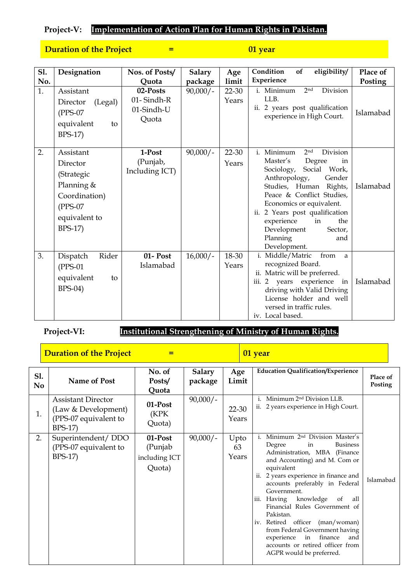# **Project-V: Implementation of Action Plan for Human Rights in Pakistan.**

## **Duration of the Project Fig. 2.1 Section** *p* **01 year**

| <b>S1.</b><br>No. | Designation                                                                                                    | Nos. of Posts/<br>Quota                       | <b>Salary</b><br>package | Age<br>limit   | eligibility/<br>Condition<br>of<br>Experience                                                                                                                                                                                                                                                                                               | Place of<br>Posting |
|-------------------|----------------------------------------------------------------------------------------------------------------|-----------------------------------------------|--------------------------|----------------|---------------------------------------------------------------------------------------------------------------------------------------------------------------------------------------------------------------------------------------------------------------------------------------------------------------------------------------------|---------------------|
| 1.                | Assistant<br>(Legal)<br>Director<br>$(PPS-07)$<br>equivalent<br>to<br>BPS-17)                                  | 02-Posts<br>01-Sindh-R<br>01-Sindh-U<br>Quota | $90,000/-$               | 22-30<br>Years | Division<br>i. Minimum<br>2 <sub>nd</sub><br>LLB.<br>ii. 2 years post qualification<br>experience in High Court.                                                                                                                                                                                                                            | Islamabad           |
| 2.                | Assistant<br>Director<br>(Strategic<br>Planning $&$<br>Coordination)<br>$(PPS-07)$<br>equivalent to<br>BPS-17) | 1-Post<br>(Punjab,<br>Including ICT)          | $90,000/-$               | 22-30<br>Years | i. Minimum<br>2 <sub>nd</sub><br>Division<br>Master's<br>Degree<br>in<br>Social Work,<br>Sociology,<br>Anthropology,<br>Gender<br>Studies, Human Rights,<br>Peace & Conflict Studies,<br>Economics or equivalent.<br>ii. 2 Years post qualification<br>experience<br>in<br>the<br>Development<br>Sector,<br>Planning<br>and<br>Development. | Islamabad           |
| 3.                | Rider<br>Dispatch<br>$(PPS-01)$<br>equivalent<br>to<br>$BPS-04)$                                               | 01- Post<br>Islamabad                         | $16,000/-$               | 18-30<br>Years | i. Middle/Matric<br>from<br>a<br>recognized Board.<br>ii. Matric will be preferred.<br>iii. 2 years experience<br>in<br>driving with Valid Driving<br>License holder and well<br>versed in traffic rules.<br>iv. Local based.                                                                                                               | Islamabad           |

# **Project-VI: Institutional Strengthening of Ministry of Human Rights.**

|                       | <b>Duration of the Project</b>                                                              |                                               |                          |                     | 01 year                                                                                                                                                                                                                                                                                                                                                                                                                                                                                                                          |                     |
|-----------------------|---------------------------------------------------------------------------------------------|-----------------------------------------------|--------------------------|---------------------|----------------------------------------------------------------------------------------------------------------------------------------------------------------------------------------------------------------------------------------------------------------------------------------------------------------------------------------------------------------------------------------------------------------------------------------------------------------------------------------------------------------------------------|---------------------|
| S1.<br>N <sub>o</sub> | <b>Name of Post</b>                                                                         | No. of<br>Posts/<br>Quota                     | <b>Salary</b><br>package | Age<br>Limit        | <b>Education Qualification/Experience</b>                                                                                                                                                                                                                                                                                                                                                                                                                                                                                        | Place of<br>Posting |
| 1.                    | <b>Assistant Director</b><br>(Law & Development)<br>(PPS-07 equivalent to<br><b>BPS-17)</b> | 01-Post<br>(KPK<br>Quota)                     | $90,000/-$               | 22-30<br>Years      | Minimum 2 <sup>nd</sup> Division LLB.<br>i.<br>2 years experience in High Court.<br>$\overline{11}$ .                                                                                                                                                                                                                                                                                                                                                                                                                            |                     |
| 2.                    | Superintendent/DDO<br>(PPS-07 equivalent to<br>BPS-17)                                      | 01-Post<br>(Punjab<br>including ICT<br>Quota) | $90,000/-$               | Upto<br>63<br>Years | i. Minimum 2 <sup>nd</sup> Division Master's<br>Degree<br><b>Business</b><br>in<br>Administration, MBA (Finance<br>and Accounting) and M. Com or<br>equivalent<br>2 years experience in finance and<br>ii.<br>accounts preferably in Federal<br>Government.<br>knowledge<br>iii.<br>Having<br>of<br>all<br>Financial Rules Government of<br>Pakistan.<br>iv. Retired officer (man/woman)<br>from Federal Government having<br>finance<br>experience<br>in<br>and<br>accounts or retired officer from<br>AGPR would be preferred. | Islamabad           |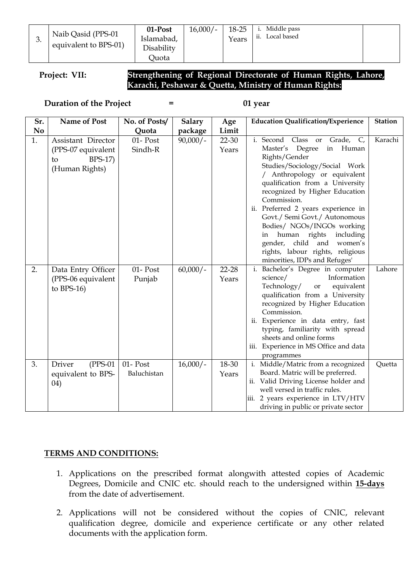| 01-Post    | ŕ |
|------------|---|
| Islamabad, |   |
| Disability |   |
| Ouota      |   |

i. Middle pass ii. Local based

## **Project: VII: Strengthening of Regional Directorate of Human Rights, Lahore, Karachi, Peshawar & Quetta, Ministry of Human Rights:**

**Duration of the Project = 01 year** 

| Sr.            | Name of Post                                                                 | No. of Posts/              | <b>Salary</b> | Age            | <b>Education Qualification/Experience</b>                                                                                                                                                                                                                                                                                                                                                                                                                                             | <b>Station</b> |
|----------------|------------------------------------------------------------------------------|----------------------------|---------------|----------------|---------------------------------------------------------------------------------------------------------------------------------------------------------------------------------------------------------------------------------------------------------------------------------------------------------------------------------------------------------------------------------------------------------------------------------------------------------------------------------------|----------------|
| N <sub>0</sub> |                                                                              | Quota                      | package       | Limit          |                                                                                                                                                                                                                                                                                                                                                                                                                                                                                       |                |
| 1.             | Assistant Director<br>(PPS-07 equivalent<br>$BPS-17$<br>to<br>(Human Rights) | 01- Post<br>Sindh-R        | $90,000/-$    | 22-30<br>Years | i. Second Class or<br>Grade, C,<br>in Human<br>Master's Degree<br>Rights/Gender<br>Studies/Sociology/Social Work<br>/ Anthropology or equivalent<br>qualification from a University<br>recognized by Higher Education<br>Commission.<br>ii. Preferred 2 years experience in<br>Govt./ Semi Govt./ Autonomous<br>Bodies/ NGOs/INGOs working<br>human rights<br>including<br>in<br>gender, child<br>and<br>women's<br>rights, labour rights, religious<br>minorities, IDPs and Refuges' | Karachi        |
| 2.             | Data Entry Officer<br>(PPS-06 equivalent<br>to $BPS-16$                      | 01- Post<br>Punjab         | $60,000/-$    | 22-28<br>Years | Bachelor's Degree in computer<br>i.<br>science/<br>Information<br>Technology/<br>equivalent<br>or<br>qualification from a University<br>recognized by Higher Education<br>Commission.<br>ii. Experience in data entry, fast<br>typing, familiarity with spread<br>sheets and online forms<br>iii. Experience in MS Office and data<br>programmes                                                                                                                                      | Lahore         |
| 3.             | Driver<br>$(PPS-01)$<br>equivalent to BPS-<br>04)                            | $01 - Post$<br>Baluchistan | $16,000/-$    | 18-30<br>Years | i. Middle/Matric from a recognized<br>Board. Matric will be preferred.<br>ii. Valid Driving License holder and<br>well versed in traffic rules.<br>iii. 2 years experience in LTV/HTV<br>driving in public or private sector                                                                                                                                                                                                                                                          | Quetta         |

## **TERMS AND CONDITIONS:**

- 1. Applications on the prescribed format alongwith attested copies of Academic Degrees, Domicile and CNIC etc. should reach to the undersigned within **15-days** from the date of advertisement.
- 2. Applications will not be considered without the copies of CNIC, relevant qualification degree, domicile and experience certificate or any other related documents with the application form.